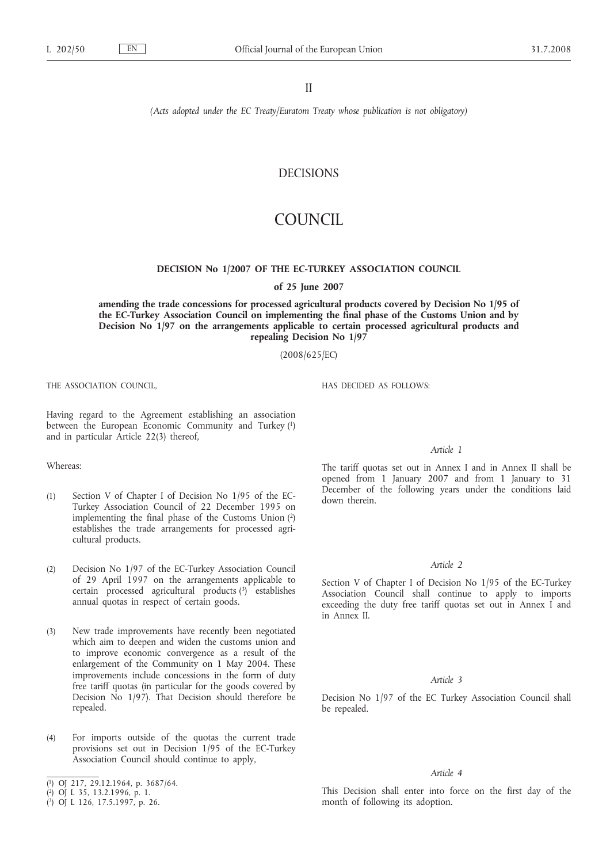II

*(Acts adopted under the EC Treaty/Euratom Treaty whose publication is not obligatory)*

## DECISIONS

# COUNCIL

#### **DECISION No 1/2007 OF THE EC-TURKEY ASSOCIATION COUNCIL**

**of 25 June 2007**

**amending the trade concessions for processed agricultural products covered by Decision No 1/95 of the EC-Turkey Association Council on implementing the final phase of the Customs Union and by Decision No 1/97 on the arrangements applicable to certain processed agricultural products and repealing Decision No 1/97**

(2008/625/EC)

THE ASSOCIATION COUNCIL,

Having regard to the Agreement establishing an association between the European Economic Community and Turkey (1) and in particular Article 22(3) thereof,

Whereas:

- (1) Section V of Chapter I of Decision No 1/95 of the EC-Turkey Association Council of 22 December 1995 on implementing the final phase of the Customs Union (2) establishes the trade arrangements for processed agricultural products.
- (2) Decision No 1/97 of the EC-Turkey Association Council of 29 April 1997 on the arrangements applicable to certain processed agricultural products  $\left(3\right)^{1}$  establishes annual quotas in respect of certain goods.
- (3) New trade improvements have recently been negotiated which aim to deepen and widen the customs union and to improve economic convergence as a result of the enlargement of the Community on 1 May 2004. These improvements include concessions in the form of duty free tariff quotas (in particular for the goods covered by Decision No 1/97). That Decision should therefore be repealed.
- (4) For imports outside of the quotas the current trade provisions set out in Decision 1/95 of the EC-Turkey Association Council should continue to apply,
- ( 1) OJ 217, 29.12.1964, p. 3687/64.
- ( 2) OJ L 35, 13.2.1996, p. 1.
- ( 3) OJ L 126, 17.5.1997, p. 26.

HAS DECIDED AS FOLLOWS:

#### *Article 1*

The tariff quotas set out in Annex I and in Annex II shall be opened from 1 January 2007 and from 1 January to 31 December of the following years under the conditions laid down therein.

#### *Article 2*

Section V of Chapter I of Decision No 1/95 of the EC-Turkey Association Council shall continue to apply to imports exceeding the duty free tariff quotas set out in Annex I and in Annex II.

#### *Article 3*

Decision No 1/97 of the EC Turkey Association Council shall be repealed.

#### *Article 4*

This Decision shall enter into force on the first day of the month of following its adoption.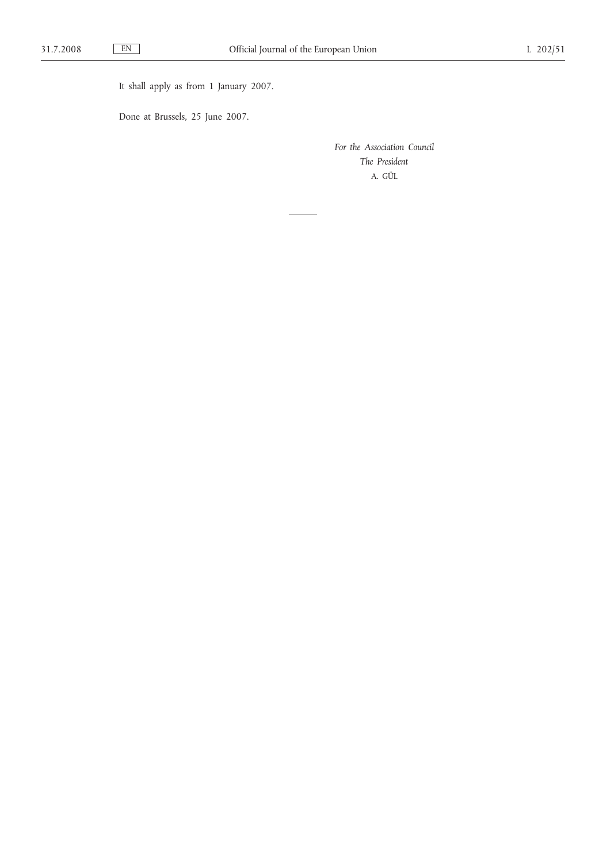It shall apply as from 1 January 2007.

Done at Brussels, 25 June 2007.

*For the Association Council The President* A. GÜL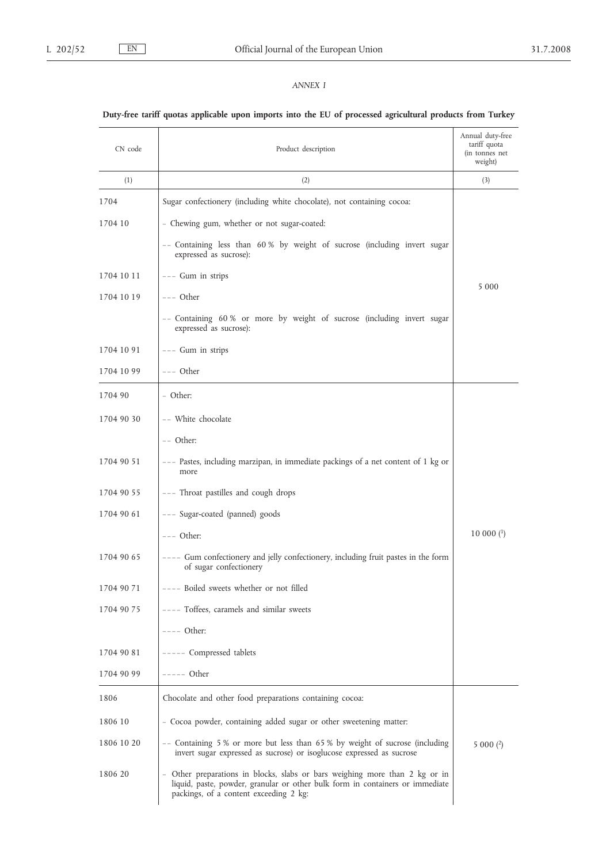### *ANNEX I*

## **Duty-free tariff quotas applicable upon imports into the EU of processed agricultural products from Turkey**

| CN code    | Product description                                                                                                                                                                                    | Annual duty-free<br>tariff quota<br>(in tonnes net<br>weight) |
|------------|--------------------------------------------------------------------------------------------------------------------------------------------------------------------------------------------------------|---------------------------------------------------------------|
| (1)        | (2)                                                                                                                                                                                                    | (3)                                                           |
| 1704       | Sugar confectionery (including white chocolate), not containing cocoa:                                                                                                                                 |                                                               |
| 1704 10    | - Chewing gum, whether or not sugar-coated:                                                                                                                                                            |                                                               |
|            | -- Containing less than 60% by weight of sucrose (including invert sugar<br>expressed as sucrose):                                                                                                     |                                                               |
| 1704 10 11 | --- Gum in strips                                                                                                                                                                                      |                                                               |
| 1704 10 19 | --- Other                                                                                                                                                                                              | 5 0 0 0                                                       |
|            | -- Containing 60% or more by weight of sucrose (including invert sugar<br>expressed as sucrose):                                                                                                       |                                                               |
| 1704 10 91 | --- Gum in strips                                                                                                                                                                                      |                                                               |
| 1704 10 99 | --- Other                                                                                                                                                                                              |                                                               |
| 1704 90    | - Other:                                                                                                                                                                                               |                                                               |
| 1704 90 30 | -- White chocolate                                                                                                                                                                                     |                                                               |
|            | $--$ Other:                                                                                                                                                                                            |                                                               |
| 1704 90 51 | --- Pastes, including marzipan, in immediate packings of a net content of 1 kg or<br>more                                                                                                              |                                                               |
| 1704 90 55 | --- Throat pastilles and cough drops                                                                                                                                                                   |                                                               |
| 1704 90 61 | --- Sugar-coated (panned) goods                                                                                                                                                                        |                                                               |
|            | $---$ Other:                                                                                                                                                                                           | $10000$ $(1)$                                                 |
| 1704 90 65 | ---- Gum confectionery and jelly confectionery, including fruit pastes in the form<br>of sugar confectionery                                                                                           |                                                               |
| 1704 90 71 | ---- Boiled sweets whether or not filled                                                                                                                                                               |                                                               |
| 1704 90 75 | ---- Toffees, caramels and similar sweets                                                                                                                                                              |                                                               |
|            | $---$ Other:                                                                                                                                                                                           |                                                               |
| 1704 90 81 | ----- Compressed tablets                                                                                                                                                                               |                                                               |
| 1704 90 99 | $---$ Other                                                                                                                                                                                            |                                                               |
| 1806       | Chocolate and other food preparations containing cocoa:                                                                                                                                                |                                                               |
| 1806 10    | - Cocoa powder, containing added sugar or other sweetening matter:                                                                                                                                     |                                                               |
| 1806 10 20 | -- Containing 5 % or more but less than 65 % by weight of sucrose (including<br>invert sugar expressed as sucrose) or isoglucose expressed as sucrose                                                  | $5000$ (2)                                                    |
| 1806 20    | - Other preparations in blocks, slabs or bars weighing more than 2 kg or in<br>liquid, paste, powder, granular or other bulk form in containers or immediate<br>packings, of a content exceeding 2 kg: |                                                               |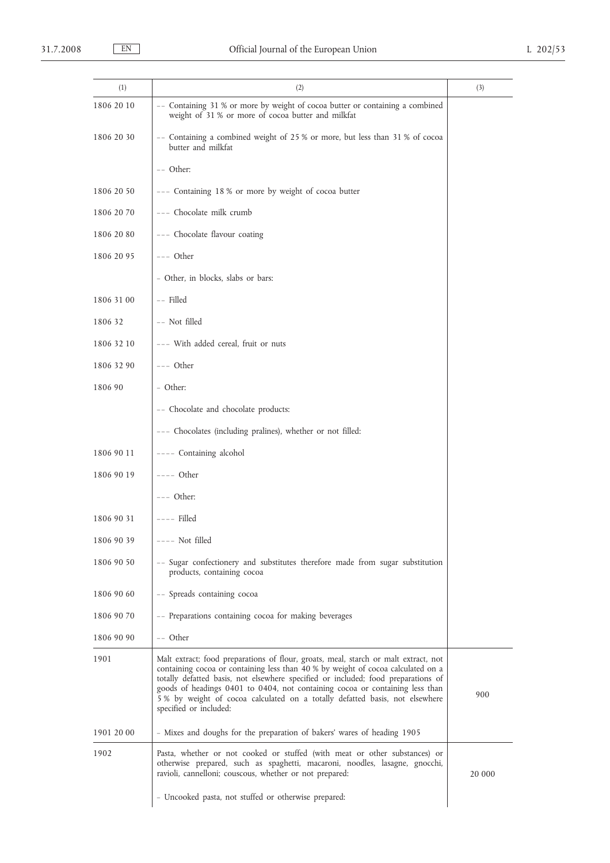| (1)        | (2)                                                                                                                                                                                                                                                                                                                                                                                                                                                   | (3)    |
|------------|-------------------------------------------------------------------------------------------------------------------------------------------------------------------------------------------------------------------------------------------------------------------------------------------------------------------------------------------------------------------------------------------------------------------------------------------------------|--------|
| 1806 20 10 | -- Containing 31 % or more by weight of cocoa butter or containing a combined<br>weight of 31 % or more of cocoa butter and milkfat                                                                                                                                                                                                                                                                                                                   |        |
| 1806 20 30 | -- Containing a combined weight of 25 % or more, but less than 31 % of cocoa<br>butter and milkfat                                                                                                                                                                                                                                                                                                                                                    |        |
|            | -- Other:                                                                                                                                                                                                                                                                                                                                                                                                                                             |        |
| 1806 20 50 | --- Containing 18 % or more by weight of cocoa butter                                                                                                                                                                                                                                                                                                                                                                                                 |        |
| 1806 20 70 | --- Chocolate milk crumb                                                                                                                                                                                                                                                                                                                                                                                                                              |        |
| 1806 20 80 | --- Chocolate flavour coating                                                                                                                                                                                                                                                                                                                                                                                                                         |        |
| 1806 20 95 | --- Other                                                                                                                                                                                                                                                                                                                                                                                                                                             |        |
|            | - Other, in blocks, slabs or bars:                                                                                                                                                                                                                                                                                                                                                                                                                    |        |
| 1806 31 00 | -- Filled                                                                                                                                                                                                                                                                                                                                                                                                                                             |        |
| 1806 32    | -- Not filled                                                                                                                                                                                                                                                                                                                                                                                                                                         |        |
| 1806 32 10 | --- With added cereal, fruit or nuts                                                                                                                                                                                                                                                                                                                                                                                                                  |        |
| 1806 32 90 | --- Other                                                                                                                                                                                                                                                                                                                                                                                                                                             |        |
| 1806 90    | - Other:                                                                                                                                                                                                                                                                                                                                                                                                                                              |        |
|            | -- Chocolate and chocolate products:                                                                                                                                                                                                                                                                                                                                                                                                                  |        |
|            | --- Chocolates (including pralines), whether or not filled:                                                                                                                                                                                                                                                                                                                                                                                           |        |
| 1806 90 11 | ---- Containing alcohol                                                                                                                                                                                                                                                                                                                                                                                                                               |        |
| 1806 90 19 | $---$ Other                                                                                                                                                                                                                                                                                                                                                                                                                                           |        |
|            | --- Other:                                                                                                                                                                                                                                                                                                                                                                                                                                            |        |
| 1806 90 31 | $---$ Filled                                                                                                                                                                                                                                                                                                                                                                                                                                          |        |
| 1806 90 39 | $---$ Not filled                                                                                                                                                                                                                                                                                                                                                                                                                                      |        |
| 1806 90 50 | -- Sugar confectionery and substitutes therefore made from sugar substitution<br>products, containing cocoa                                                                                                                                                                                                                                                                                                                                           |        |
| 1806 90 60 | -- Spreads containing cocoa                                                                                                                                                                                                                                                                                                                                                                                                                           |        |
| 1806 90 70 | -- Preparations containing cocoa for making beverages                                                                                                                                                                                                                                                                                                                                                                                                 |        |
| 1806 90 90 | -- Other                                                                                                                                                                                                                                                                                                                                                                                                                                              |        |
| 1901       | Malt extract; food preparations of flour, groats, meal, starch or malt extract, not<br>containing cocoa or containing less than 40 % by weight of cocoa calculated on a<br>totally defatted basis, not elsewhere specified or included; food preparations of<br>goods of headings 0401 to 0404, not containing cocoa or containing less than<br>5% by weight of cocoa calculated on a totally defatted basis, not elsewhere<br>specified or included: | 900    |
| 1901 20 00 | - Mixes and doughs for the preparation of bakers' wares of heading 1905                                                                                                                                                                                                                                                                                                                                                                               |        |
| 1902       | Pasta, whether or not cooked or stuffed (with meat or other substances) or<br>otherwise prepared, such as spaghetti, macaroni, noodles, lasagne, gnocchi,<br>ravioli, cannelloni; couscous, whether or not prepared:                                                                                                                                                                                                                                  | 20 000 |
|            | - Uncooked pasta, not stuffed or otherwise prepared:                                                                                                                                                                                                                                                                                                                                                                                                  |        |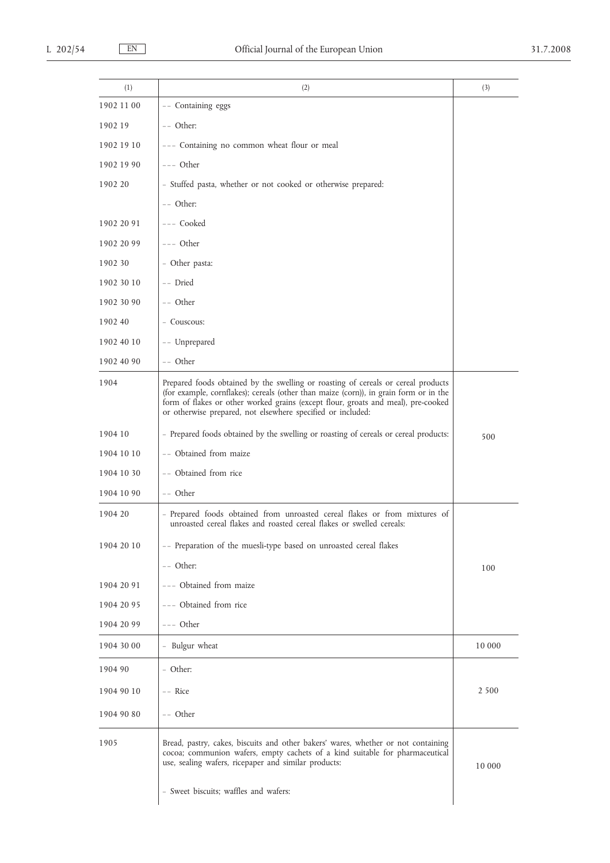| (1)        | (2)                                                                                                                                                                                                                                                                                                                            | (3)     |
|------------|--------------------------------------------------------------------------------------------------------------------------------------------------------------------------------------------------------------------------------------------------------------------------------------------------------------------------------|---------|
| 1902 11 00 | -- Containing eggs                                                                                                                                                                                                                                                                                                             |         |
| 1902 19    | $--$ Other:                                                                                                                                                                                                                                                                                                                    |         |
| 1902 19 10 | --- Containing no common wheat flour or meal                                                                                                                                                                                                                                                                                   |         |
| 1902 19 90 | $---$ Other                                                                                                                                                                                                                                                                                                                    |         |
| 1902 20    | - Stuffed pasta, whether or not cooked or otherwise prepared:                                                                                                                                                                                                                                                                  |         |
|            | -- Other:                                                                                                                                                                                                                                                                                                                      |         |
| 1902 20 91 | --- Cooked                                                                                                                                                                                                                                                                                                                     |         |
| 1902 20 99 | --- Other                                                                                                                                                                                                                                                                                                                      |         |
| 1902 30    | - Other pasta:                                                                                                                                                                                                                                                                                                                 |         |
| 1902 30 10 | -- Dried                                                                                                                                                                                                                                                                                                                       |         |
| 1902 30 90 | -- Other                                                                                                                                                                                                                                                                                                                       |         |
| 1902 40    | - Couscous:                                                                                                                                                                                                                                                                                                                    |         |
| 1902 40 10 | -- Unprepared                                                                                                                                                                                                                                                                                                                  |         |
| 1902 40 90 | -- Other                                                                                                                                                                                                                                                                                                                       |         |
| 1904       | Prepared foods obtained by the swelling or roasting of cereals or cereal products<br>(for example, cornflakes); cereals (other than maize (corn)), in grain form or in the<br>form of flakes or other worked grains (except flour, groats and meal), pre-cooked<br>or otherwise prepared, not elsewhere specified or included: |         |
| 1904 10    | - Prepared foods obtained by the swelling or roasting of cereals or cereal products:                                                                                                                                                                                                                                           | 500     |
| 1904 10 10 | -- Obtained from maize                                                                                                                                                                                                                                                                                                         |         |
| 1904 10 30 | -- Obtained from rice                                                                                                                                                                                                                                                                                                          |         |
| 1904 10 90 | -- Other                                                                                                                                                                                                                                                                                                                       |         |
| 1904 20    | - Prepared foods obtained from unroasted cereal flakes or from mixtures of<br>unroasted cereal flakes and roasted cereal flakes or swelled cereals:                                                                                                                                                                            |         |
| 1904 20 10 | -- Preparation of the muesli-type based on unroasted cereal flakes                                                                                                                                                                                                                                                             |         |
|            | -- Other:                                                                                                                                                                                                                                                                                                                      | 100     |
| 1904 20 91 | --- Obtained from maize                                                                                                                                                                                                                                                                                                        |         |
| 1904 20 95 | --- Obtained from rice                                                                                                                                                                                                                                                                                                         |         |
| 1904 20 99 | --- Other                                                                                                                                                                                                                                                                                                                      |         |
| 1904 30 00 | - Bulgur wheat                                                                                                                                                                                                                                                                                                                 | 10 000  |
| 1904 90    | - Other:                                                                                                                                                                                                                                                                                                                       |         |
| 1904 90 10 | -- Rice                                                                                                                                                                                                                                                                                                                        | 2 5 0 0 |
| 1904 90 80 | -- Other                                                                                                                                                                                                                                                                                                                       |         |
| 1905       | Bread, pastry, cakes, biscuits and other bakers' wares, whether or not containing<br>cocoa; communion wafers, empty cachets of a kind suitable for pharmaceutical<br>use, sealing wafers, ricepaper and similar products:                                                                                                      | 10 000  |
|            | - Sweet biscuits; waffles and wafers:                                                                                                                                                                                                                                                                                          |         |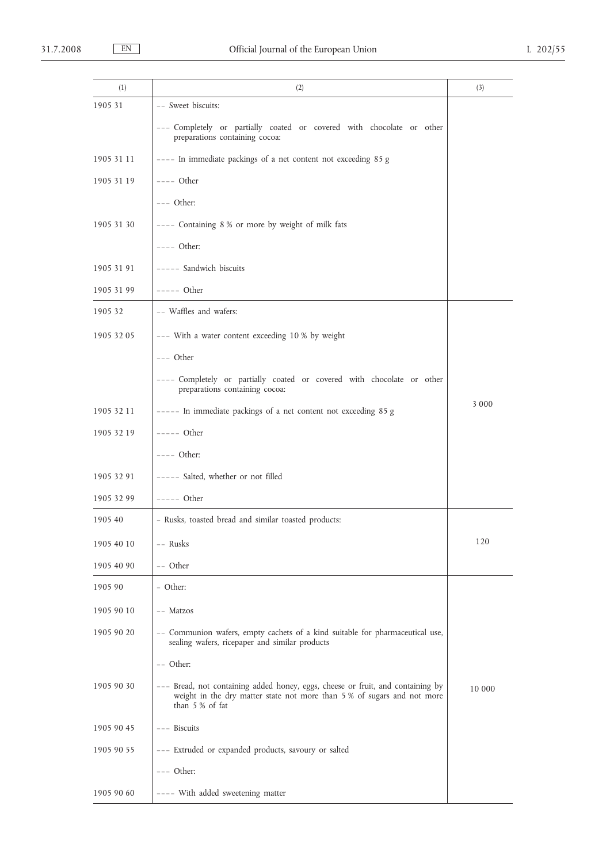| (1)        | (2)                                                                                                                                                                          | (3)     |
|------------|------------------------------------------------------------------------------------------------------------------------------------------------------------------------------|---------|
| 1905 31    | -- Sweet biscuits:                                                                                                                                                           |         |
|            | --- Completely or partially coated or covered with chocolate or other<br>preparations containing cocoa:                                                                      |         |
| 1905 31 11 | ---- In immediate packings of a net content not exceeding 85 g                                                                                                               |         |
| 1905 31 19 | $---$ Other                                                                                                                                                                  |         |
|            | $---$ Other:                                                                                                                                                                 |         |
| 1905 31 30 | ---- Containing 8 % or more by weight of milk fats                                                                                                                           |         |
|            | $---$ Other:                                                                                                                                                                 |         |
| 1905 31 91 | ----- Sandwich biscuits                                                                                                                                                      |         |
| 1905 31 99 | $---$ Other                                                                                                                                                                  |         |
| 1905 32    | -- Waffles and wafers:                                                                                                                                                       |         |
| 1905 32 05 | --- With a water content exceeding 10 % by weight                                                                                                                            |         |
|            | $---$ Other                                                                                                                                                                  |         |
|            | ---- Completely or partially coated or covered with chocolate or other<br>preparations containing cocoa:                                                                     |         |
| 1905 32 11 | ----- In immediate packings of a net content not exceeding 85 g                                                                                                              | 3 0 0 0 |
| 1905 32 19 | $---$ Other                                                                                                                                                                  |         |
|            | $---$ Other:                                                                                                                                                                 |         |
| 1905 32 91 | ----- Salted, whether or not filled                                                                                                                                          |         |
| 1905 32 99 | $---$ Other                                                                                                                                                                  |         |
| 1905 40    | - Rusks, toasted bread and similar toasted products:                                                                                                                         |         |
| 1905 40 10 | -- Rusks                                                                                                                                                                     | 120     |
| 1905 40 90 | -- Other                                                                                                                                                                     |         |
| 1905 90    | - Other:                                                                                                                                                                     |         |
| 1905 90 10 | -- Matzos                                                                                                                                                                    |         |
| 1905 90 20 | -- Communion wafers, empty cachets of a kind suitable for pharmaceutical use,<br>sealing wafers, ricepaper and similar products                                              |         |
|            | $--$ Other:                                                                                                                                                                  |         |
| 1905 90 30 | --- Bread, not containing added honey, eggs, cheese or fruit, and containing by<br>weight in the dry matter state not more than 5% of sugars and not more<br>than 5 % of fat | 10 000  |
| 1905 90 45 | $---$ Biscuits                                                                                                                                                               |         |
| 1905 90 55 | --- Extruded or expanded products, savoury or salted                                                                                                                         |         |
|            | $---$ Other:                                                                                                                                                                 |         |
| 1905 90 60 | ---- With added sweetening matter                                                                                                                                            |         |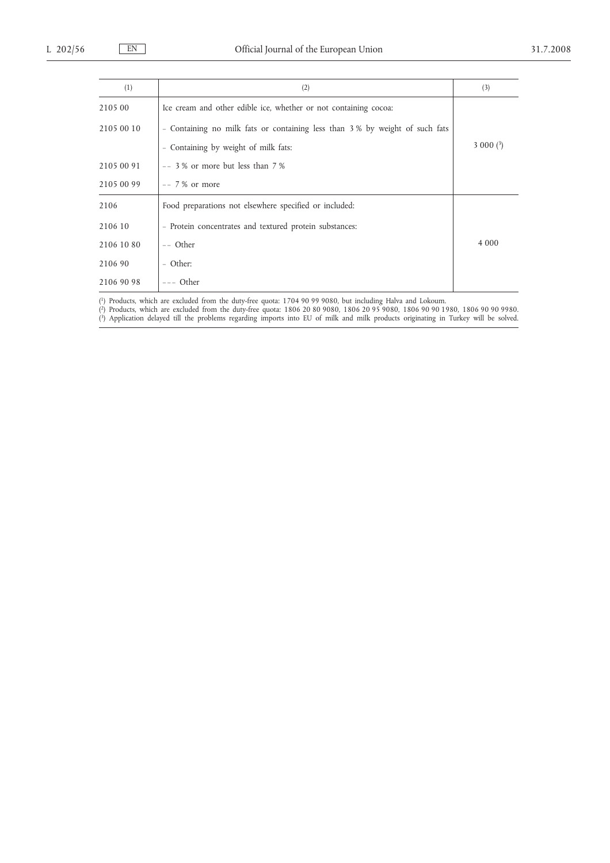| (1)        | (2)                                                                         | (3)        |
|------------|-----------------------------------------------------------------------------|------------|
| 2105 00    | Ice cream and other edible ice, whether or not containing cocoa:            |            |
| 2105 00 10 | - Containing no milk fats or containing less than 3% by weight of such fats |            |
|            | - Containing by weight of milk fats:                                        | $3000(^3)$ |
| 2105 00 91 | $--$ 3 % or more but less than 7 %                                          |            |
| 2105 00 99 | $-- 7\%$ or more                                                            |            |
| 2106       | Food preparations not elsewhere specified or included:                      |            |
| 2106 10    | - Protein concentrates and textured protein substances:                     |            |
| 2106 10 80 | -- Other                                                                    | 4 0 0 0    |
| 2106 90    | - Other:                                                                    |            |
| 2106 90 98 | $---$ Other                                                                 |            |

( 1) Products, which are excluded from the duty-free quota: 1704 90 99 9080, but including Halva and Lokoum.

( 2) Products, which are excluded from the duty-free quota: 1806 20 80 9080, 1806 20 95 9080, 1806 90 90 1980, 1806 90 90 9980. ( 3) Application delayed till the problems regarding imports into EU of milk and milk products originating in Turkey will be solved.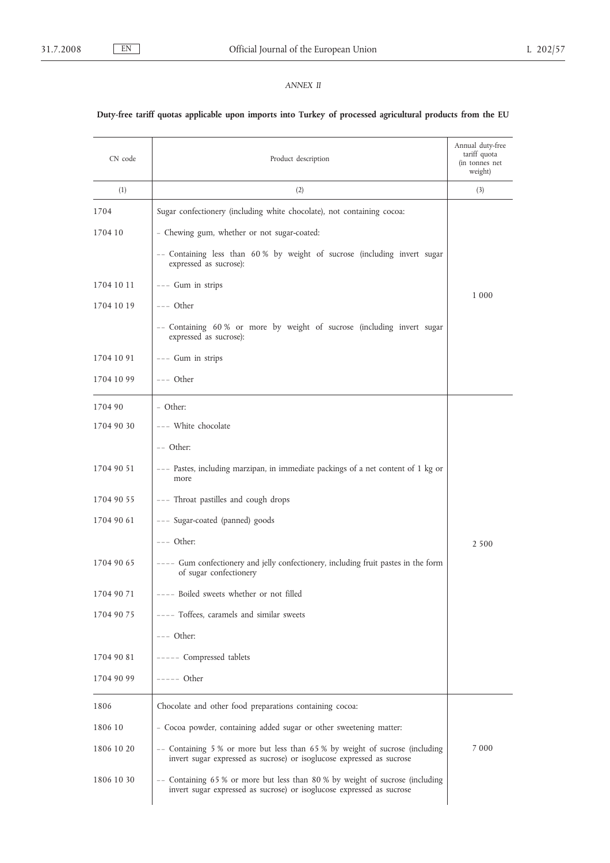## *ANNEX II*

## **Duty-free tariff quotas applicable upon imports into Turkey of processed agricultural products from the EU**

| CN code    | Product description                                                                                                                                    | Annual duty-free<br>tariff quota<br>(in tonnes net<br>weight) |
|------------|--------------------------------------------------------------------------------------------------------------------------------------------------------|---------------------------------------------------------------|
| (1)        | (2)                                                                                                                                                    | (3)                                                           |
| 1704       | Sugar confectionery (including white chocolate), not containing cocoa:                                                                                 |                                                               |
| 1704 10    | - Chewing gum, whether or not sugar-coated:                                                                                                            |                                                               |
|            | -- Containing less than 60% by weight of sucrose (including invert sugar<br>expressed as sucrose):                                                     |                                                               |
| 1704 10 11 | --- Gum in strips                                                                                                                                      | 1 000                                                         |
| 1704 10 19 | --- Other                                                                                                                                              |                                                               |
|            | -- Containing 60% or more by weight of sucrose (including invert sugar<br>expressed as sucrose):                                                       |                                                               |
| 1704 10 91 | --- Gum in strips                                                                                                                                      |                                                               |
| 1704 10 99 | $---$ Other                                                                                                                                            |                                                               |
| 1704 90    | - Other:                                                                                                                                               |                                                               |
| 1704 90 30 | --- White chocolate                                                                                                                                    |                                                               |
|            | -- Other:                                                                                                                                              |                                                               |
| 1704 90 51 | --- Pastes, including marzipan, in immediate packings of a net content of 1 kg or<br>more                                                              |                                                               |
| 1704 90 55 | --- Throat pastilles and cough drops                                                                                                                   |                                                               |
| 1704 90 61 | --- Sugar-coated (panned) goods                                                                                                                        |                                                               |
|            | $---$ Other:                                                                                                                                           | 2 5 0 0                                                       |
| 1704 90 65 | ---- Gum confectionery and jelly confectionery, including fruit pastes in the form<br>of sugar confectionery                                           |                                                               |
| 1704 90 71 | ---- Boiled sweets whether or not filled                                                                                                               |                                                               |
| 1704 90 75 | ---- Toffees, caramels and similar sweets                                                                                                              |                                                               |
|            | $---$ Other:                                                                                                                                           |                                                               |
| 1704 90 81 | ----- Compressed tablets                                                                                                                               |                                                               |
| 1704 90 99 | $---$ Other                                                                                                                                            |                                                               |
| 1806       | Chocolate and other food preparations containing cocoa:                                                                                                |                                                               |
| 1806 10    | - Cocoa powder, containing added sugar or other sweetening matter:                                                                                     |                                                               |
| 1806 10 20 | -- Containing 5 % or more but less than 65 % by weight of sucrose (including<br>invert sugar expressed as sucrose) or isoglucose expressed as sucrose  | 7 0 0 0                                                       |
| 1806 10 30 | -- Containing 65 % or more but less than 80 % by weight of sucrose (including<br>invert sugar expressed as sucrose) or isoglucose expressed as sucrose |                                                               |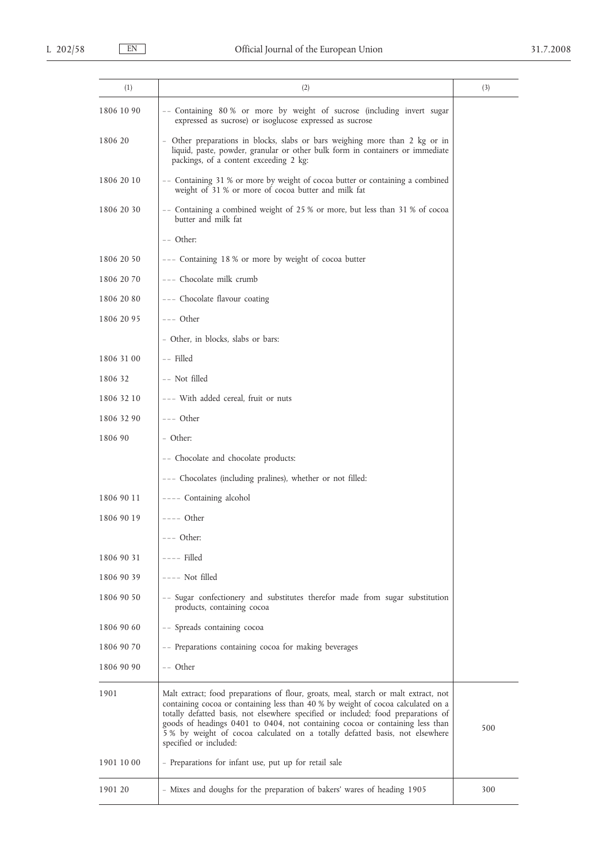| (1)        | (2)                                                                                                                                                                                                                                                                                                                                                                                                                                                    | (3) |
|------------|--------------------------------------------------------------------------------------------------------------------------------------------------------------------------------------------------------------------------------------------------------------------------------------------------------------------------------------------------------------------------------------------------------------------------------------------------------|-----|
| 1806 10 90 | -- Containing 80% or more by weight of sucrose (including invert sugar<br>expressed as sucrose) or isoglucose expressed as sucrose                                                                                                                                                                                                                                                                                                                     |     |
| 1806 20    | - Other preparations in blocks, slabs or bars weighing more than 2 kg or in<br>liquid, paste, powder, granular or other bulk form in containers or immediate<br>packings, of a content exceeding 2 kg:                                                                                                                                                                                                                                                 |     |
| 1806 20 10 | -- Containing 31 % or more by weight of cocoa butter or containing a combined<br>weight of 31 % or more of cocoa butter and milk fat                                                                                                                                                                                                                                                                                                                   |     |
| 1806 20 30 | -- Containing a combined weight of 25 % or more, but less than 31 % of cocoa<br>butter and milk fat                                                                                                                                                                                                                                                                                                                                                    |     |
|            | -- Other:                                                                                                                                                                                                                                                                                                                                                                                                                                              |     |
| 1806 20 50 | --- Containing 18% or more by weight of cocoa butter                                                                                                                                                                                                                                                                                                                                                                                                   |     |
| 1806 20 70 | --- Chocolate milk crumb                                                                                                                                                                                                                                                                                                                                                                                                                               |     |
| 1806 20 80 | --- Chocolate flavour coating                                                                                                                                                                                                                                                                                                                                                                                                                          |     |
| 1806 20 95 | $---$ Other                                                                                                                                                                                                                                                                                                                                                                                                                                            |     |
|            | - Other, in blocks, slabs or bars:                                                                                                                                                                                                                                                                                                                                                                                                                     |     |
| 1806 31 00 | -- Filled                                                                                                                                                                                                                                                                                                                                                                                                                                              |     |
| 1806 32    | -- Not filled                                                                                                                                                                                                                                                                                                                                                                                                                                          |     |
| 1806 32 10 | --- With added cereal, fruit or nuts                                                                                                                                                                                                                                                                                                                                                                                                                   |     |
| 1806 32 90 | $---$ Other                                                                                                                                                                                                                                                                                                                                                                                                                                            |     |
| 1806 90    | - Other:                                                                                                                                                                                                                                                                                                                                                                                                                                               |     |
|            | -- Chocolate and chocolate products:                                                                                                                                                                                                                                                                                                                                                                                                                   |     |
|            | --- Chocolates (including pralines), whether or not filled:                                                                                                                                                                                                                                                                                                                                                                                            |     |
| 1806 90 11 | ---- Containing alcohol                                                                                                                                                                                                                                                                                                                                                                                                                                |     |
| 1806 90 19 | $---$ Other                                                                                                                                                                                                                                                                                                                                                                                                                                            |     |
|            | --- Other:                                                                                                                                                                                                                                                                                                                                                                                                                                             |     |
| 1806 90 31 | $---$ Filled                                                                                                                                                                                                                                                                                                                                                                                                                                           |     |
| 1806 90 39 | $---$ Not filled                                                                                                                                                                                                                                                                                                                                                                                                                                       |     |
| 1806 90 50 | -- Sugar confectionery and substitutes therefor made from sugar substitution<br>products, containing cocoa                                                                                                                                                                                                                                                                                                                                             |     |
| 1806 90 60 | -- Spreads containing cocoa                                                                                                                                                                                                                                                                                                                                                                                                                            |     |
| 1806 90 70 | -- Preparations containing cocoa for making beverages                                                                                                                                                                                                                                                                                                                                                                                                  |     |
| 1806 90 90 | -- Other                                                                                                                                                                                                                                                                                                                                                                                                                                               |     |
| 1901       | Malt extract; food preparations of flour, groats, meal, starch or malt extract, not<br>containing cocoa or containing less than 40 % by weight of cocoa calculated on a<br>totally defatted basis, not elsewhere specified or included; food preparations of<br>goods of headings 0401 to 0404, not containing cocoa or containing less than<br>5 % by weight of cocoa calculated on a totally defatted basis, not elsewhere<br>specified or included: | 500 |
| 1901 10 00 | - Preparations for infant use, put up for retail sale                                                                                                                                                                                                                                                                                                                                                                                                  |     |
| 1901 20    | - Mixes and doughs for the preparation of bakers' wares of heading 1905                                                                                                                                                                                                                                                                                                                                                                                | 300 |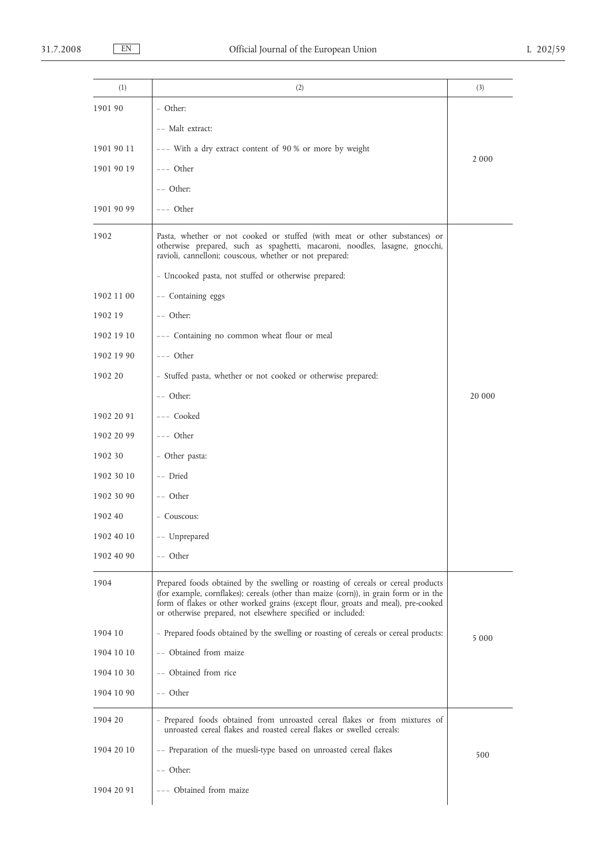| (1)        | (2)                                                                                                                                                                                                                                                                                                                            | (3)     |
|------------|--------------------------------------------------------------------------------------------------------------------------------------------------------------------------------------------------------------------------------------------------------------------------------------------------------------------------------|---------|
| 1901 90    | - Other:                                                                                                                                                                                                                                                                                                                       |         |
|            | -- Malt extract:                                                                                                                                                                                                                                                                                                               |         |
| 1901 90 11 | --- With a dry extract content of 90 % or more by weight                                                                                                                                                                                                                                                                       |         |
| 1901 90 19 | $---$ Other                                                                                                                                                                                                                                                                                                                    | 2000    |
|            | -- Other:                                                                                                                                                                                                                                                                                                                      |         |
| 1901 90 99 | --- Other                                                                                                                                                                                                                                                                                                                      |         |
| 1902       | Pasta, whether or not cooked or stuffed (with meat or other substances) or<br>otherwise prepared, such as spaghetti, macaroni, noodles, lasagne, gnocchi,<br>ravioli, cannelloni; couscous, whether or not prepared:                                                                                                           |         |
|            | - Uncooked pasta, not stuffed or otherwise prepared:                                                                                                                                                                                                                                                                           |         |
| 1902 11 00 | -- Containing eggs                                                                                                                                                                                                                                                                                                             |         |
| 1902 19    | $--$ Other:                                                                                                                                                                                                                                                                                                                    |         |
| 1902 19 10 | --- Containing no common wheat flour or meal                                                                                                                                                                                                                                                                                   |         |
| 1902 19 90 | $---$ Other                                                                                                                                                                                                                                                                                                                    |         |
| 1902 20    | - Stuffed pasta, whether or not cooked or otherwise prepared:                                                                                                                                                                                                                                                                  |         |
|            | $--$ Other:                                                                                                                                                                                                                                                                                                                    | 20 000  |
| 1902 20 91 | --- Cooked                                                                                                                                                                                                                                                                                                                     |         |
| 1902 20 99 | --- Other                                                                                                                                                                                                                                                                                                                      |         |
| 1902 30    | - Other pasta:                                                                                                                                                                                                                                                                                                                 |         |
| 1902 30 10 | -- Dried                                                                                                                                                                                                                                                                                                                       |         |
| 1902 30 90 | -- Other                                                                                                                                                                                                                                                                                                                       |         |
| 1902 40    | - Couscous:                                                                                                                                                                                                                                                                                                                    |         |
| 1902 40 10 | -- Unprepared                                                                                                                                                                                                                                                                                                                  |         |
| 1902 40 90 | -- Other                                                                                                                                                                                                                                                                                                                       |         |
| 1904       | Prepared foods obtained by the swelling or roasting of cereals or cereal products<br>(for example, cornflakes); cereals (other than maize (corn)), in grain form or in the<br>form of flakes or other worked grains (except flour, groats and meal), pre-cooked<br>or otherwise prepared, not elsewhere specified or included: |         |
| 1904 10    | - Prepared foods obtained by the swelling or roasting of cereals or cereal products:                                                                                                                                                                                                                                           | 5 0 0 0 |
| 1904 10 10 | -- Obtained from maize                                                                                                                                                                                                                                                                                                         |         |
| 1904 10 30 | -- Obtained from rice                                                                                                                                                                                                                                                                                                          |         |
| 1904 10 90 | -- Other                                                                                                                                                                                                                                                                                                                       |         |
| 1904 20    | - Prepared foods obtained from unroasted cereal flakes or from mixtures of<br>unroasted cereal flakes and roasted cereal flakes or swelled cereals:                                                                                                                                                                            |         |
| 1904 20 10 | -- Preparation of the muesli-type based on unroasted cereal flakes                                                                                                                                                                                                                                                             | 500     |
|            | -- Other:                                                                                                                                                                                                                                                                                                                      |         |
| 1904 20 91 | --- Obtained from maize                                                                                                                                                                                                                                                                                                        |         |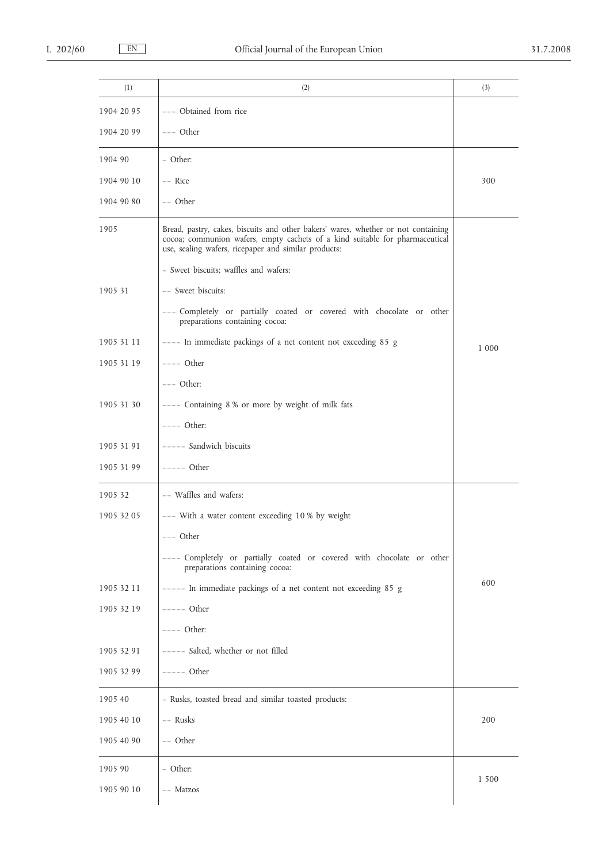| (1)        | (2)                                                                                                                                                                                                                       | (3)   |
|------------|---------------------------------------------------------------------------------------------------------------------------------------------------------------------------------------------------------------------------|-------|
| 1904 20 95 | --- Obtained from rice                                                                                                                                                                                                    |       |
| 1904 20 99 | $---$ Other                                                                                                                                                                                                               |       |
| 1904 90    | - Other:                                                                                                                                                                                                                  |       |
| 1904 90 10 | $--$ Rice                                                                                                                                                                                                                 | 300   |
| 1904 90 80 | $--$ Other                                                                                                                                                                                                                |       |
| 1905       | Bread, pastry, cakes, biscuits and other bakers' wares, whether or not containing<br>cocoa; communion wafers, empty cachets of a kind suitable for pharmaceutical<br>use, sealing wafers, ricepaper and similar products: |       |
|            | - Sweet biscuits; waffles and wafers:                                                                                                                                                                                     |       |
| 1905 31    | -- Sweet biscuits:                                                                                                                                                                                                        |       |
|            | --- Completely or partially coated or covered with chocolate or other<br>preparations containing cocoa:                                                                                                                   |       |
| 1905 31 11 | ---- In immediate packings of a net content not exceeding 85 g                                                                                                                                                            | 1 000 |
| 1905 31 19 | $---$ Other                                                                                                                                                                                                               |       |
|            | $---$ Other:                                                                                                                                                                                                              |       |
| 1905 31 30 | ---- Containing 8% or more by weight of milk fats                                                                                                                                                                         |       |
|            | $---$ Other:                                                                                                                                                                                                              |       |
| 1905 31 91 | ----- Sandwich biscuits                                                                                                                                                                                                   |       |
| 1905 31 99 | $---$ Other                                                                                                                                                                                                               |       |
| 1905 32    | -- Waffles and wafers:                                                                                                                                                                                                    |       |
| 1905 32 05 | --- With a water content exceeding 10 % by weight                                                                                                                                                                         |       |
|            | --- Other                                                                                                                                                                                                                 |       |
|            | ---- Completely or partially coated or covered with chocolate or other<br>preparations containing cocoa:                                                                                                                  |       |
| 1905 32 11 | ----- In immediate packings of a net content not exceeding 85 g                                                                                                                                                           | 600   |
| 1905 32 19 | $---$ Other                                                                                                                                                                                                               |       |
|            | $---$ Other:                                                                                                                                                                                                              |       |
| 1905 32 91 | ----- Salted, whether or not filled                                                                                                                                                                                       |       |
| 1905 32 99 | $---$ Other                                                                                                                                                                                                               |       |
| 1905 40    | - Rusks, toasted bread and similar toasted products:                                                                                                                                                                      |       |
| 1905 40 10 | -- Rusks                                                                                                                                                                                                                  | 200   |
| 1905 40 90 | -- Other                                                                                                                                                                                                                  |       |
| 1905 90    | - Other:                                                                                                                                                                                                                  |       |
| 1905 90 10 | -- Matzos                                                                                                                                                                                                                 | 1 500 |